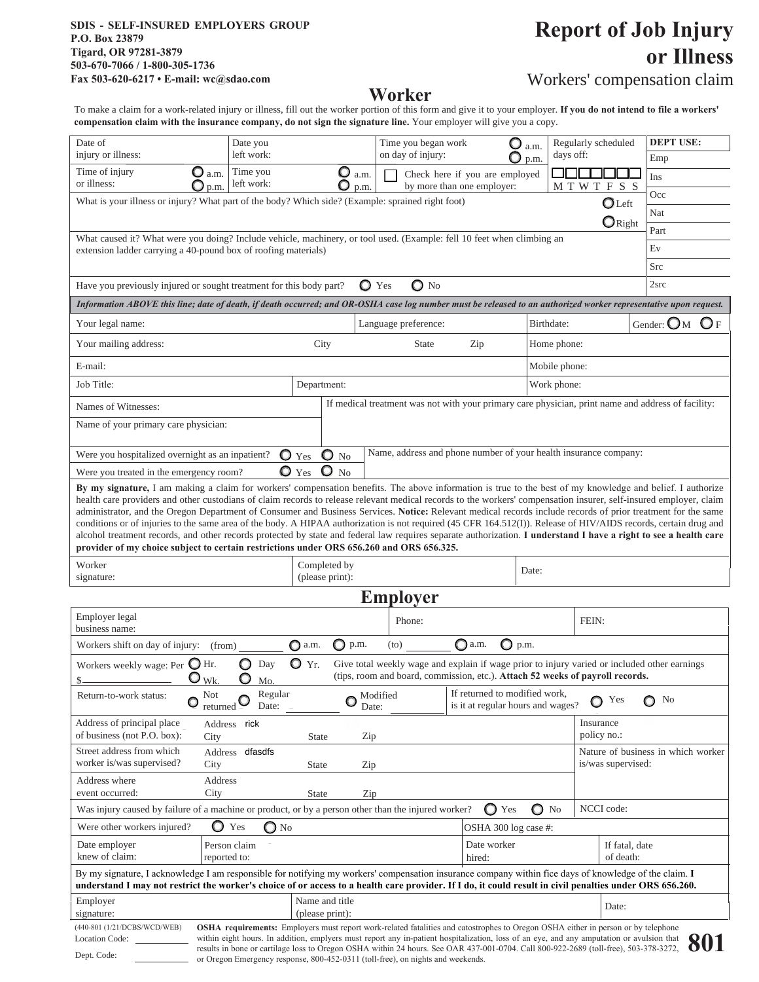#### **SDIS - SELF-INSURED EMPLOYERS GROUP P.O. Box 23879 Tigard, OR 97281-3879 503-670-7066 / 1-800-305-1736 Fax 503-620-6217 • E-mail: wc@sdao.com**

# **Report of Job Injury or Illness**

# **Worker**

# Workers' compensation claim

To make a claim for a work-related injury or illness, fill out the worker portion of this form and give it to your employer. **If you do not intend to file a workers' compensation claim with the insurance company, do not sign the signature line.** Your employer will give you a copy.

|                                                                                                                                                                                                                                                                                                                                                                                                                                                                                                                                                                                                                                                                                                                                                                         |                                 |                              |                                          |                                |                                                  |                             | <b>DEPT USE:</b>                         |  |
|-------------------------------------------------------------------------------------------------------------------------------------------------------------------------------------------------------------------------------------------------------------------------------------------------------------------------------------------------------------------------------------------------------------------------------------------------------------------------------------------------------------------------------------------------------------------------------------------------------------------------------------------------------------------------------------------------------------------------------------------------------------------------|---------------------------------|------------------------------|------------------------------------------|--------------------------------|--------------------------------------------------|-----------------------------|------------------------------------------|--|
| Date of<br>injury or illness:                                                                                                                                                                                                                                                                                                                                                                                                                                                                                                                                                                                                                                                                                                                                           | Date you<br>left work:          |                              | Time you began work<br>on day of injury: | O                              | Regularly scheduled<br>a.m.<br>days off:<br>p.m. |                             | Emp                                      |  |
| Time of injury<br>or illness:                                                                                                                                                                                                                                                                                                                                                                                                                                                                                                                                                                                                                                                                                                                                           | Time you<br>$\mathbf{O}$ a.m.   | O<br>a.m.                    |                                          | Check here if you are employed |                                                  |                             | Ins                                      |  |
| O                                                                                                                                                                                                                                                                                                                                                                                                                                                                                                                                                                                                                                                                                                                                                                       | left work:<br>p.m.              | O<br>p.m.                    |                                          | by more than one employer:     | M T W T                                          | FSS                         | Occ                                      |  |
| What is your illness or injury? What part of the body? Which side? (Example: sprained right foot)<br>$\bigcirc$ Left                                                                                                                                                                                                                                                                                                                                                                                                                                                                                                                                                                                                                                                    |                                 |                              |                                          |                                |                                                  |                             | Nat                                      |  |
| $\mathbf{O}_{\text{Right}}$                                                                                                                                                                                                                                                                                                                                                                                                                                                                                                                                                                                                                                                                                                                                             |                                 |                              |                                          |                                |                                                  |                             | Part                                     |  |
| What caused it? What were you doing? Include vehicle, machinery, or tool used. (Example: fell 10 feet when climbing an<br>extension ladder carrying a 40-pound box of roofing materials)                                                                                                                                                                                                                                                                                                                                                                                                                                                                                                                                                                                |                                 |                              |                                          |                                |                                                  |                             | Ev                                       |  |
|                                                                                                                                                                                                                                                                                                                                                                                                                                                                                                                                                                                                                                                                                                                                                                         |                                 |                              |                                          |                                |                                                  |                             | Src                                      |  |
| $\mathbf{O}$ No<br>$\mathbf{O}$ Yes<br>Have you previously injured or sought treatment for this body part?                                                                                                                                                                                                                                                                                                                                                                                                                                                                                                                                                                                                                                                              |                                 |                              |                                          |                                |                                                  |                             | 2src                                     |  |
| Information ABOVE this line; date of death, if death occurred; and OR-OSHA case log number must be released to an authorized worker representative upon request.                                                                                                                                                                                                                                                                                                                                                                                                                                                                                                                                                                                                        |                                 |                              |                                          |                                |                                                  |                             |                                          |  |
| Your legal name:                                                                                                                                                                                                                                                                                                                                                                                                                                                                                                                                                                                                                                                                                                                                                        |                                 |                              | Language preference:                     |                                | Birthdate:                                       |                             | Gender: $\mathbb{O}_M$<br>$\mathbf{O}_F$ |  |
| Your mailing address:                                                                                                                                                                                                                                                                                                                                                                                                                                                                                                                                                                                                                                                                                                                                                   |                                 | City                         | <b>State</b><br>Zip                      |                                | Home phone:                                      |                             |                                          |  |
| E-mail:                                                                                                                                                                                                                                                                                                                                                                                                                                                                                                                                                                                                                                                                                                                                                                 |                                 | Mobile phone:                |                                          |                                |                                                  |                             |                                          |  |
| Job Title:<br>Department:                                                                                                                                                                                                                                                                                                                                                                                                                                                                                                                                                                                                                                                                                                                                               |                                 |                              |                                          |                                | Work phone:                                      |                             |                                          |  |
| If medical treatment was not with your primary care physician, print name and address of facility:<br>Names of Witnesses:                                                                                                                                                                                                                                                                                                                                                                                                                                                                                                                                                                                                                                               |                                 |                              |                                          |                                |                                                  |                             |                                          |  |
| Name of your primary care physician:                                                                                                                                                                                                                                                                                                                                                                                                                                                                                                                                                                                                                                                                                                                                    |                                 |                              |                                          |                                |                                                  |                             |                                          |  |
| Name, address and phone number of your health insurance company:<br>$\bullet$ No<br>$\bullet$ Yes<br>Were you hospitalized overnight as an inpatient?                                                                                                                                                                                                                                                                                                                                                                                                                                                                                                                                                                                                                   |                                 |                              |                                          |                                |                                                  |                             |                                          |  |
| $\mathbf{O}$ No<br>$\bullet$ Yes<br>Were you treated in the emergency room?                                                                                                                                                                                                                                                                                                                                                                                                                                                                                                                                                                                                                                                                                             |                                 |                              |                                          |                                |                                                  |                             |                                          |  |
| health care providers and other custodians of claim records to release relevant medical records to the workers' compensation insurer, self-insured employer, claim<br>administrator, and the Oregon Department of Consumer and Business Services. Notice: Relevant medical records include records of prior treatment for the same<br>conditions or of injuries to the same area of the body. A HIPAA authorization is not required (45 CFR 164.512(I)). Release of HIV/AIDS records, certain drug and<br>alcohol treatment records, and other records protected by state and federal law requires separate authorization. I understand I have a right to see a health care<br>provider of my choice subject to certain restrictions under ORS 656.260 and ORS 656.325. |                                 |                              |                                          |                                |                                                  |                             |                                          |  |
| Worker<br>signature:                                                                                                                                                                                                                                                                                                                                                                                                                                                                                                                                                                                                                                                                                                                                                    | Completed by<br>(please print): |                              |                                          | Date:                          |                                                  |                             |                                          |  |
| <b>Employer</b>                                                                                                                                                                                                                                                                                                                                                                                                                                                                                                                                                                                                                                                                                                                                                         |                                 |                              |                                          |                                |                                                  |                             |                                          |  |
| Employer legal<br>business name:                                                                                                                                                                                                                                                                                                                                                                                                                                                                                                                                                                                                                                                                                                                                        |                                 |                              | Phone:                                   |                                | FEIN:                                            |                             |                                          |  |
| Workers shift on day of injury: (from)                                                                                                                                                                                                                                                                                                                                                                                                                                                                                                                                                                                                                                                                                                                                  |                                 | $\bigcirc$ a.m.<br>p.m.<br>O | (to)                                     | $\bigcirc$ a.m.<br>$Q$ p.m.    |                                                  |                             |                                          |  |
| $Q_{Yr.}$<br>Workers weekly wage: Per $\bigcirc$ Hr.<br>O<br>Day<br>Give total weekly wage and explain if wage prior to injury varied or included other earnings<br>(tips, room and board, commission, etc.). Attach 52 weeks of payroll records.<br>\$.<br>Wk.                                                                                                                                                                                                                                                                                                                                                                                                                                                                                                         |                                 |                              |                                          |                                |                                                  |                             |                                          |  |
| Mo.<br>If returned to modified work,<br>Regular<br><b>Not</b><br>Modified<br>Return-to-work status:<br>Yes<br>No<br>O<br>C<br>O<br>is it at regular hours and wages?<br>Date:<br>Date:<br>returned                                                                                                                                                                                                                                                                                                                                                                                                                                                                                                                                                                      |                                 |                              |                                          |                                |                                                  |                             |                                          |  |
| Address of principal place<br>of business (not P.O. box):                                                                                                                                                                                                                                                                                                                                                                                                                                                                                                                                                                                                                                                                                                               | Address rick<br>City            | State<br>Zip                 |                                          |                                |                                                  | Insurance<br>policy no.:    |                                          |  |
| Street address from which<br>worker is/was supervised?                                                                                                                                                                                                                                                                                                                                                                                                                                                                                                                                                                                                                                                                                                                  | Address dfasdfs<br>City         | <b>State</b><br>Zip          |                                          |                                |                                                  | is/was supervised:          | Nature of business in which worker       |  |
| Address where                                                                                                                                                                                                                                                                                                                                                                                                                                                                                                                                                                                                                                                                                                                                                           | Address                         |                              |                                          |                                |                                                  |                             |                                          |  |
| event occurred:<br>City<br><b>State</b><br>Zip<br>NCCI code:<br>Was injury caused by failure of a machine or product, or by a person other than the injured worker?<br>$\bigcirc$ Yes<br>$\bigcirc$ No                                                                                                                                                                                                                                                                                                                                                                                                                                                                                                                                                                  |                                 |                              |                                          |                                |                                                  |                             |                                          |  |
| $\bullet$ Yes<br>Were other workers injured?<br>$\bigcirc$ No<br>OSHA 300 log case #:                                                                                                                                                                                                                                                                                                                                                                                                                                                                                                                                                                                                                                                                                   |                                 |                              |                                          |                                |                                                  |                             |                                          |  |
| Date employer<br>knew of claim:                                                                                                                                                                                                                                                                                                                                                                                                                                                                                                                                                                                                                                                                                                                                         | Person claim<br>reported to:    |                              |                                          | Date worker<br>hired:          |                                                  | If fatal, date<br>of death: |                                          |  |
| By my signature, I acknowledge I am responsible for notifying my workers' compensation insurance company within fice days of knowledge of the claim. I<br>understand I may not restrict the worker's choice of or access to a health care provider. If I do, it could result in civil penalties under ORS 656.260.                                                                                                                                                                                                                                                                                                                                                                                                                                                      |                                 |                              |                                          |                                |                                                  |                             |                                          |  |
| Employer                                                                                                                                                                                                                                                                                                                                                                                                                                                                                                                                                                                                                                                                                                                                                                |                                 | Name and title               |                                          |                                |                                                  |                             |                                          |  |
| signature:                                                                                                                                                                                                                                                                                                                                                                                                                                                                                                                                                                                                                                                                                                                                                              |                                 | (please print):              |                                          |                                |                                                  | Date:                       |                                          |  |
| (440-801 (1/21/DCBS/WCD/WEB)<br>OSHA requirements: Employers must report work-related fatalities and catostrophes to Oregon OSHA either in person or by telephone<br>within eight hours. In addition, emplyers must report any in-patient hospitalization, loss of an eye, and any amputation or avulsion that<br>Location Code:                                                                                                                                                                                                                                                                                                                                                                                                                                        |                                 |                              |                                          |                                |                                                  |                             |                                          |  |
| <b>OUT</b><br>results in bone or cartilage loss to Oregon OSHA within 24 hours. See OAR 437-001-0704. Call 800-922-2689 (toll-free), 503-378-3272,<br>Dept. Code:<br>or Oregon Emergency response, 800-452-0311 (toll-free), on nights and weekends.                                                                                                                                                                                                                                                                                                                                                                                                                                                                                                                    |                                 |                              |                                          |                                |                                                  |                             |                                          |  |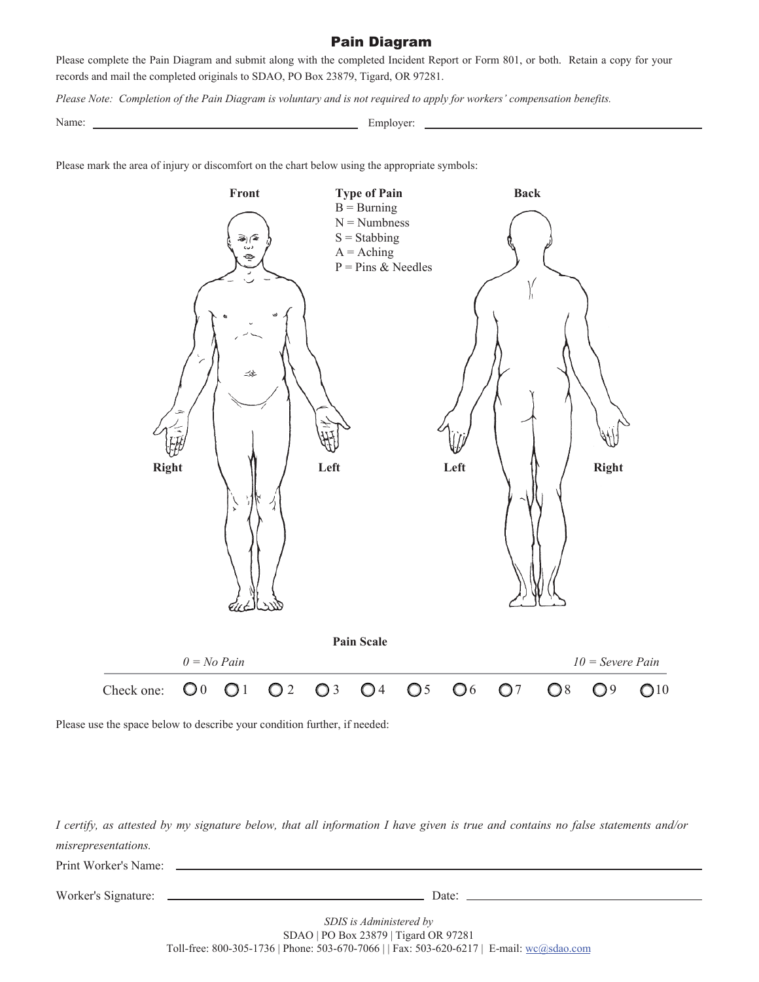#### Pain Diagram

Please complete the Pain Diagram and submit along with the completed Incident Report or Form 801, or both. Retain a copy for your records and mail the completed originals to SDAO, PO Box 23879, Tigard, OR 97281.

*Please Note: Completion of the Pain Diagram is voluntary and is not required to apply for workers' compensation benefits.*

Name: Employer:

Please mark the area of injury or discomfort on the chart below using the appropriate symbols:



Please use the space below to describe your condition further, if needed:

*I certify, as attested by my signature below, that all information I have given is true and contains no false statements and/or misrepresentations.*

Print Worker's Name:

Worker's Signature: Date:

*SDIS is Administered by* SDAO | PO Box 23879 | Tigard OR 97281 Toll-free: 800-305-1736 | Phone: 503-670-7066 | | Fax: 503-620-6217 | E-mail: wc@sdao.com